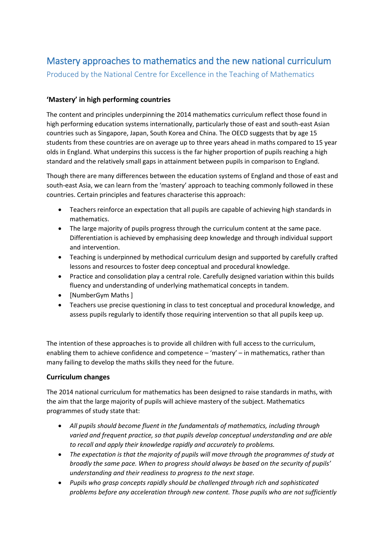# Mastery approaches to mathematics and the new national curriculum

Produced by the National Centre for Excellence in the Teaching of Mathematics

# **'Mastery' in high performing countries**

The content and principles underpinning the 2014 mathematics curriculum reflect those found in high performing education systems internationally, particularly those of east and south-east Asian countries such as Singapore, Japan, South Korea and China. The OECD suggests that by age 15 students from these countries are on average up to three years ahead in maths compared to 15 year olds in England. What underpins this success is the far higher proportion of pupils reaching a high standard and the relatively small gaps in attainment between pupils in comparison to England.

Though there are many differences between the education systems of England and those of east and south-east Asia, we can learn from the 'mastery' approach to teaching commonly followed in these countries. Certain principles and features characterise this approach:

- Teachers reinforce an expectation that all pupils are capable of achieving high standards in mathematics.
- The large majority of pupils progress through the curriculum content at the same pace. Differentiation is achieved by emphasising deep knowledge and through individual support and intervention.
- Teaching is underpinned by methodical curriculum design and supported by carefully crafted lessons and resources to foster deep conceptual and procedural knowledge.
- Practice and consolidation play a central role. Carefully designed variation within this builds fluency and understanding of underlying mathematical concepts in tandem.
- [NumberGym Maths ]
- Teachers use precise questioning in class to test conceptual and procedural knowledge, and assess pupils regularly to identify those requiring intervention so that all pupils keep up.

The intention of these approaches is to provide all children with full access to the curriculum, enabling them to achieve confidence and competence – 'mastery' – in mathematics, rather than many failing to develop the maths skills they need for the future.

## **Curriculum changes**

The 2014 national curriculum for mathematics has been designed to raise standards in maths, with the aim that the large majority of pupils will achieve mastery of the subject. Mathematics programmes of study state that:

- *All pupils should become fluent in the fundamentals of mathematics, including through varied and frequent practice, so that pupils develop conceptual understanding and are able to recall and apply their knowledge rapidly and accurately to problems.*
- *The expectation is that the majority of pupils will move through the programmes of study at broadly the same pace. When to progress should always be based on the security of pupils' understanding and their readiness to progress to the next stage.*
- *Pupils who grasp concepts rapidly should be challenged through rich and sophisticated problems before any acceleration through new content. Those pupils who are not sufficiently*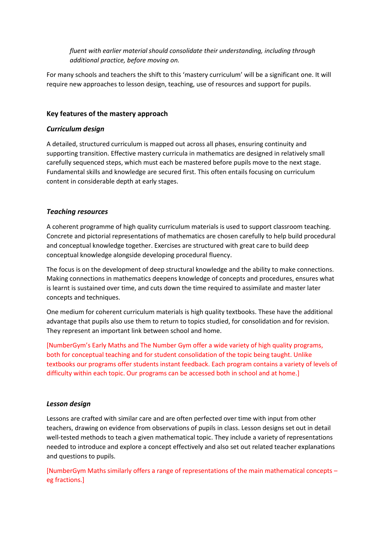*fluent with earlier material should consolidate their understanding, including through additional practice, before moving on.* 

For many schools and teachers the shift to this 'mastery curriculum' will be a significant one. It will require new approaches to lesson design, teaching, use of resources and support for pupils.

### **Key features of the mastery approach**

#### *Curriculum design*

A detailed, structured curriculum is mapped out across all phases, ensuring continuity and supporting transition. Effective mastery curricula in mathematics are designed in relatively small carefully sequenced steps, which must each be mastered before pupils move to the next stage. Fundamental skills and knowledge are secured first. This often entails focusing on curriculum content in considerable depth at early stages.

## *Teaching resources*

A coherent programme of high quality curriculum materials is used to support classroom teaching. Concrete and pictorial representations of mathematics are chosen carefully to help build procedural and conceptual knowledge together. Exercises are structured with great care to build deep conceptual knowledge alongside developing procedural fluency.

The focus is on the development of deep structural knowledge and the ability to make connections. Making connections in mathematics deepens knowledge of concepts and procedures, ensures what is learnt is sustained over time, and cuts down the time required to assimilate and master later concepts and techniques.

One medium for coherent curriculum materials is high quality textbooks. These have the additional advantage that pupils also use them to return to topics studied, for consolidation and for revision. They represent an important link between school and home.

[NumberGym's Early Maths and The Number Gym offer a wide variety of high quality programs, both for conceptual teaching and for student consolidation of the topic being taught. Unlike textbooks our programs offer students instant feedback. Each program contains a variety of levels of difficulty within each topic. Our programs can be accessed both in school and at home.]

#### *Lesson design*

Lessons are crafted with similar care and are often perfected over time with input from other teachers, drawing on evidence from observations of pupils in class. Lesson designs set out in detail well-tested methods to teach a given mathematical topic. They include a variety of representations needed to introduce and explore a concept effectively and also set out related teacher explanations and questions to pupils.

[NumberGym Maths similarly offers a range of representations of the main mathematical concepts – eg fractions.]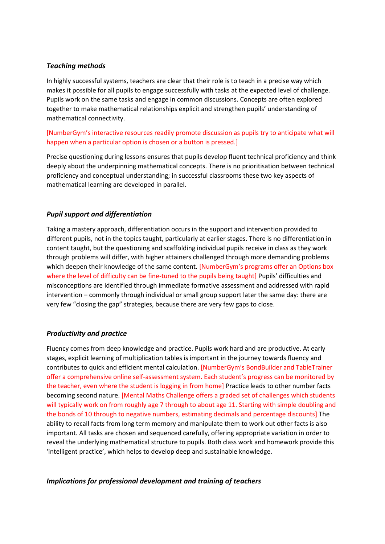## *Teaching methods*

In highly successful systems, teachers are clear that their role is to teach in a precise way which makes it possible for all pupils to engage successfully with tasks at the expected level of challenge. Pupils work on the same tasks and engage in common discussions. Concepts are often explored together to make mathematical relationships explicit and strengthen pupils' understanding of mathematical connectivity.

## [NumberGym's interactive resources readily promote discussion as pupils try to anticipate what will happen when a particular option is chosen or a button is pressed.]

Precise questioning during lessons ensures that pupils develop fluent technical proficiency and think deeply about the underpinning mathematical concepts. There is no prioritisation between technical proficiency and conceptual understanding; in successful classrooms these two key aspects of mathematical learning are developed in parallel.

## *Pupil support and differentiation*

Taking a mastery approach, differentiation occurs in the support and intervention provided to different pupils, not in the topics taught, particularly at earlier stages. There is no differentiation in content taught, but the questioning and scaffolding individual pupils receive in class as they work through problems will differ, with higher attainers challenged through more demanding problems which deepen their knowledge of the same content. [NumberGym's programs offer an Options box where the level of difficulty can be fine-tuned to the pupils being taught] Pupils' difficulties and misconceptions are identified through immediate formative assessment and addressed with rapid intervention – commonly through individual or small group support later the same day: there are very few "closing the gap" strategies, because there are very few gaps to close.

## *Productivity and practice*

Fluency comes from deep knowledge and practice. Pupils work hard and are productive. At early stages, explicit learning of multiplication tables is important in the journey towards fluency and contributes to quick and efficient mental calculation. [NumberGym's BondBuilder and TableTrainer offer a comprehensive online self-assessment system. Each student's progress can be monitored by the teacher, even where the student is logging in from home] Practice leads to other number facts becoming second nature. [Mental Maths Challenge offers a graded set of challenges which students will typically work on from roughly age 7 through to about age 11. Starting with simple doubling and the bonds of 10 through to negative numbers, estimating decimals and percentage discounts] The ability to recall facts from long term memory and manipulate them to work out other facts is also important. All tasks are chosen and sequenced carefully, offering appropriate variation in order to reveal the underlying mathematical structure to pupils. Both class work and homework provide this 'intelligent practice', which helps to develop deep and sustainable knowledge.

## *Implications for professional development and training of teachers*